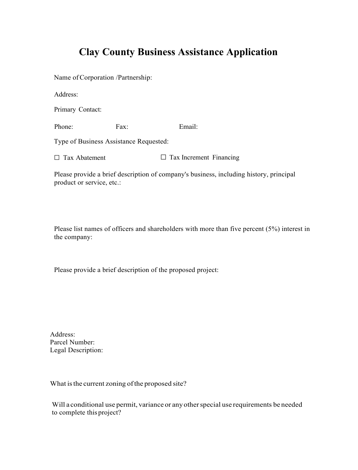# **Clay County Business Assistance Application**

Name ofCorporation /Partnership:

Address:

Primary Contact:

Phone: Fax: Email:

Type of Business Assistance Requested:

□ Tax Abatement □ Tax Increment Financing

Please provide a brief description of company's business, including history, principal product or service, etc.:

Please list names of officers and shareholders with more than five percent (5%) interest in the company:

Please provide a brief description of the proposed project:

Address: Parcel Number: Legal Description:

What is the current zoning of the proposed site?

Will a conditional use permit, variance or any other special use requirements be needed to complete this project?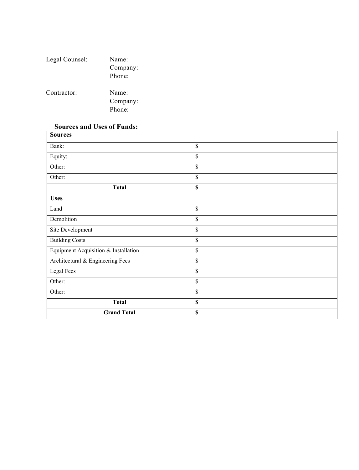| Legal Counsel: | Name:    |
|----------------|----------|
|                | Company: |
|                | Phone:   |
|                |          |
| Contractor:    | Name:    |
|                | Company: |
|                | Phone:   |

# **Sources and Uses of Funds:**

l.

| <b>Sources</b>                       |                          |  |
|--------------------------------------|--------------------------|--|
| Bank:                                | $\$$                     |  |
| Equity:                              | $\mathsf{\$}$            |  |
| Other:                               | $\mathsf{\$}$            |  |
| Other:                               | $\mathsf{\$}$            |  |
| <b>Total</b>                         | $\mathbf S$              |  |
| <b>Uses</b>                          |                          |  |
| Land                                 | $\$$                     |  |
| Demolition                           | $\mathbf{\hat{S}}$       |  |
| Site Development                     | $\mathcal{S}$            |  |
| <b>Building Costs</b>                | $\overline{\mathcal{S}}$ |  |
| Equipment Acquisition & Installation | $\mathsf{\$}$            |  |
| Architectural & Engineering Fees     | $\mathsf{\$}$            |  |
| Legal Fees                           | \$                       |  |
| Other:                               | $\mathsf{\$}$            |  |
| Other:                               | $\overline{\mathcal{S}}$ |  |
| <b>Total</b>                         | $\mathbf S$              |  |
| <b>Grand Total</b>                   | $\mathbf S$              |  |

<u> 1980 - Johann Barbara, martxa amerikan per</u>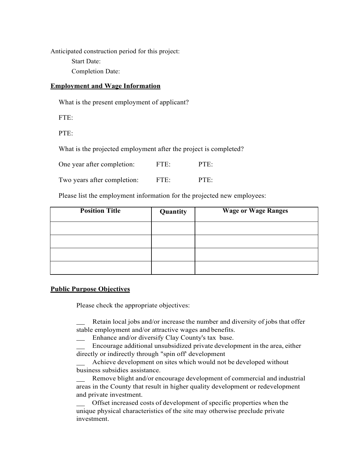Anticipated construction period for this project: Start Date: Completion Date:

#### **Employment and Wage Information**

What is the present employment of applicant?

FTE:

PTE:

What is the projected employment after the project is completed?

One year after completion: FTE: PTE:

Two years after completion: FTE: PTE:

Please list the employment information for the projected new employees:

| <b>Position Title</b> | Quantity | <b>Wage or Wage Ranges</b> |
|-----------------------|----------|----------------------------|
|                       |          |                            |
|                       |          |                            |
|                       |          |                            |
|                       |          |                            |

#### **Public Purpose Objectives**

Please check the appropriate objectives:

Retain local jobs and/or increase the number and diversity of jobs that offer stable employment and/or attractive wages and benefits.

Enhance and/or diversify Clay County's tax base.

Encourage additional unsubsidized private development in the area, either directly or indirectly through "spin off' development

Achieve development on sites which would not be developed without business subsidies assistance.

Remove blight and/or encourage development of commercial and industrial areas in the County that result in higher quality development or redevelopment and private investment.

Offset increased costs of development of specific properties when the unique physical characteristics of the site may otherwise preclude private investment.